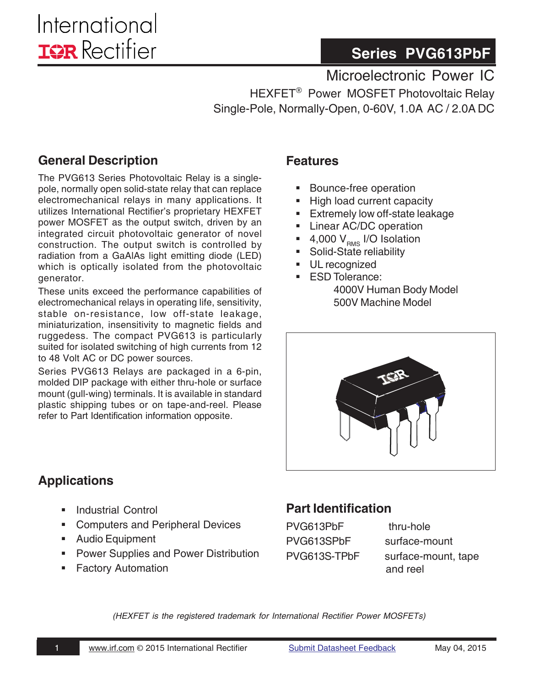# **Series PVG613PbF**

Microelectronic Power IC

HEXFET® Power MOSFET Photovoltaic Relay Single-Pole, Normally-Open, 0-60V, 1.0A AC / 2.0A DC

### **General Description**

The PVG613 Series Photovoltaic Relay is a singlepole, normally open solid-state relay that can replace electromechanical relays in many applications. It utilizes International Rectifier's proprietary HEXFET power MOSFET as the output switch, driven by an integrated circuit photovoltaic generator of novel construction. The output switch is controlled by radiation from a GaAlAs light emitting diode (LED) which is optically isolated from the photovoltaic generator.

These units exceed the performance capabilities of electromechanical relays in operating life, sensitivity, stable on-resistance, low off-state leakage, miniaturization, insensitivity to magnetic fields and ruggedess. The compact PVG613 is particularly suited for isolated switching of high currents from 12 to 48 Volt AC or DC power sources.

Series PVG613 Relays are packaged in a 6-pin, molded DIP package with either thru-hole or surface mount (gull-wing) terminals. It is available in standard plastic shipping tubes or on tape-and-reel. Please refer to Part Identification information opposite.

### **Features**

- Bounce-free operation
- High load current capacity
- **Extremely low off-state leakage**
- **Linear AC/DC operation**
- 4,000  $V_{\text{RMS}}$  I/O Isolation
- Solid-State reliability
- UL recognized
- **ESD Tolerance:** 4000V Human Body Model 500V Machine Model



### **Applications**

- Industrial Control
- Computers and Peripheral Devices
- **Audio Equipment**
- **Power Supplies and Power Distribution**
- **Factory Automation**

## **Part Identification**

PVG613PbF thru-hole PVG613SPbF surface-mount

PVG613S-TPbF surface-mount, tape and reel

*(HEXFET is the registered trademark for International Rectifier Power MOSFETs)*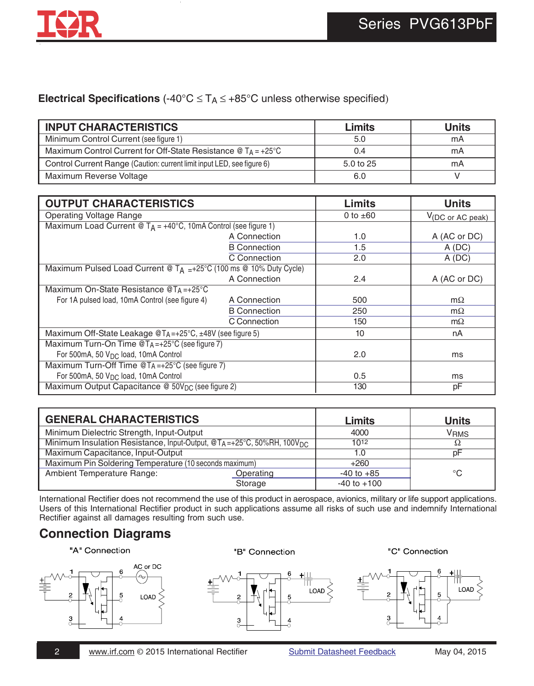#### **Electrical Specifications** (-40°C ≤ TA ≤ +85°C unless otherwise specified)

| <b>INPUT CHARACTERISTICS</b>                                                                           | Limits    | <b>Units</b> |
|--------------------------------------------------------------------------------------------------------|-----------|--------------|
| Minimum Control Current (see figure 1)                                                                 | 5.0       | mA           |
| Maximum Control Current for Off-State Resistance $\textcircled{a}$ T <sub>A</sub> = +25 <sup>°</sup> C | 0.4       | mA           |
| Control Current Range (Caution: current limit input LED, see figure 6)                                 | 5.0 to 25 | mA           |
| Maximum Reverse Voltage                                                                                | 6.0       |              |

| <b>OUTPUT CHARACTERISTICS</b>                                                |                     | Limits        | <b>Units</b>                  |
|------------------------------------------------------------------------------|---------------------|---------------|-------------------------------|
| <b>Operating Voltage Range</b>                                               |                     | 0 to $\pm 60$ | $V_{(DC \text{ or AC peak})}$ |
| Maximum Load Current @ $T_A = +40^{\circ}C$ , 10mA Control (see figure 1)    |                     |               |                               |
|                                                                              | A Connection        | 1.0           | A (AC or DC)                  |
|                                                                              | <b>B</b> Connection | 1.5           | A(DC)                         |
|                                                                              | C Connection        | 2.0           | A(DC)                         |
| Maximum Pulsed Load Current @ $T_A = +25^{\circ}C$ (100 ms @ 10% Duty Cycle) |                     |               |                               |
|                                                                              | A Connection        | 2.4           | A (AC or DC)                  |
| Maximum On-State Resistance @TA=+25°C                                        |                     |               |                               |
| For 1A pulsed load, 10mA Control (see figure 4)                              | A Connection        | 500           | $m\Omega$                     |
|                                                                              | <b>B</b> Connection | 250           | $m\Omega$                     |
|                                                                              | C Connection        | 150           | $m\Omega$                     |
| Maximum Off-State Leakage @TA=+25°C, ±48V (see figure 5)                     |                     | 10            | nA                            |
| Maximum Turn-On Time $@TA=+25°C$ (see figure 7)                              |                     |               |                               |
| For 500mA, 50 V <sub>DC</sub> load, 10mA Control                             |                     | 2.0           | ms                            |
| Maximum Turn-Off Time @TA=+25°C (see figure 7)                               |                     |               |                               |
| For 500mA, 50 $VDC$ load, 10mA Control                                       |                     | 0.5           | ms                            |
| Maximum Output Capacitance @ 50V <sub>DC</sub> (see figure 2)                |                     | 130           | рF                            |

| <b>GENERAL CHARACTERISTICS</b>                                                    | Limits    | <b>Units</b>    |                        |
|-----------------------------------------------------------------------------------|-----------|-----------------|------------------------|
| Minimum Dielectric Strength, Input-Output                                         |           | 4000            | <b>V<sub>RMS</sub></b> |
| Minimum Insulation Resistance, Input-Output, @TA=+25°C, 50%RH, 100V <sub>DC</sub> |           | 1012            |                        |
| Maximum Capacitance, Input-Output                                                 |           | 1.0             | рF                     |
| Maximum Pin Soldering Temperature (10 seconds maximum)                            |           | $+260$          |                        |
| Ambient Temperature Range:                                                        | Operating | $-40$ to $+85$  | °C                     |
|                                                                                   | Storage   | $-40$ to $+100$ |                        |

International Rectifier does not recommend the use of this product in aerospace, avionics, military or life support applications. Users of this International Rectifier product in such applications assume all risks of such use and indemnify International Rectifier against all damages resulting from such use.

## **Connection Diagrams**

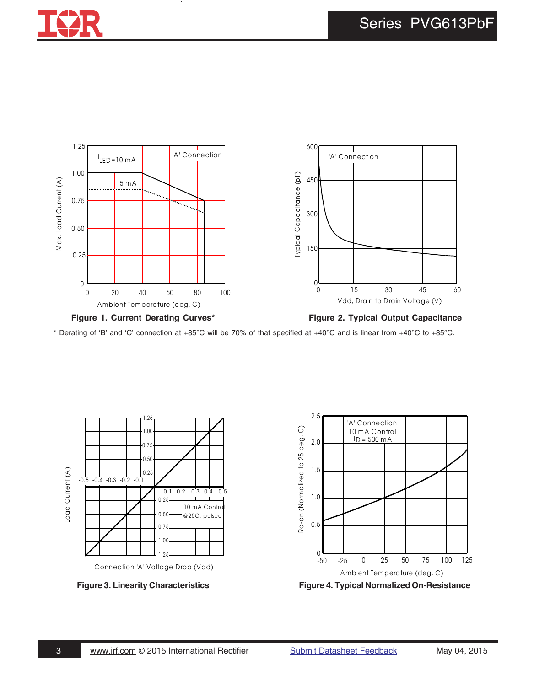





\* Derating of 'B' and 'C' connection at +85°C will be 70% of that specified at +40°C and is linear from +40°C to +85°C.





**Figure 3. Linearity Characteristics Figure 4. Typical Normalized On-Resistance**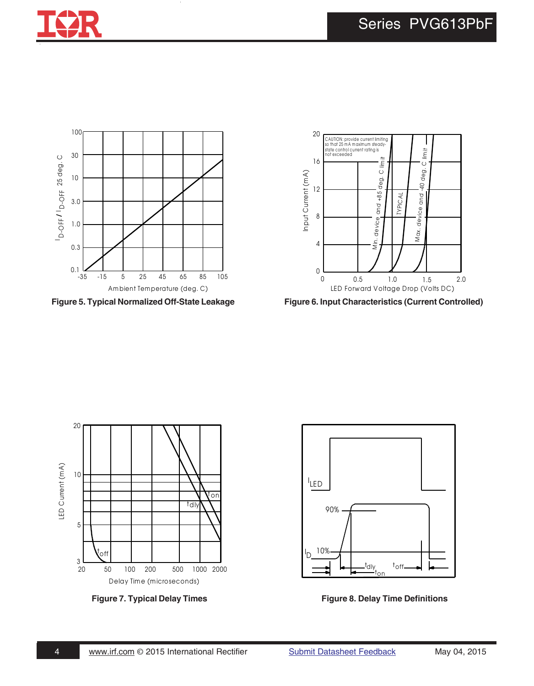





**Figure 5. Typical Normalized Off-State Leakage Figure 6. Input Characteristics (Current Controlled)**





Figure 7. Typical Delay Times **Figure 8. Delay Time Definitions**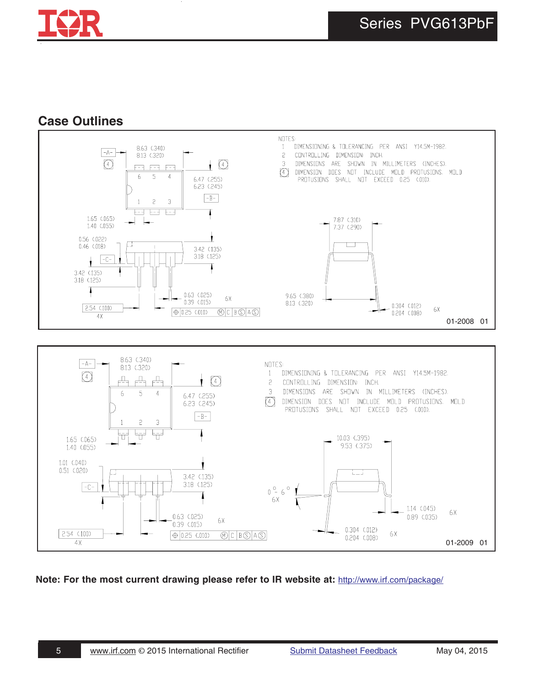

### **Case Outlines**



**Note: For the most current drawing please refer to IR website at:** <http://www.irf.com/package/>